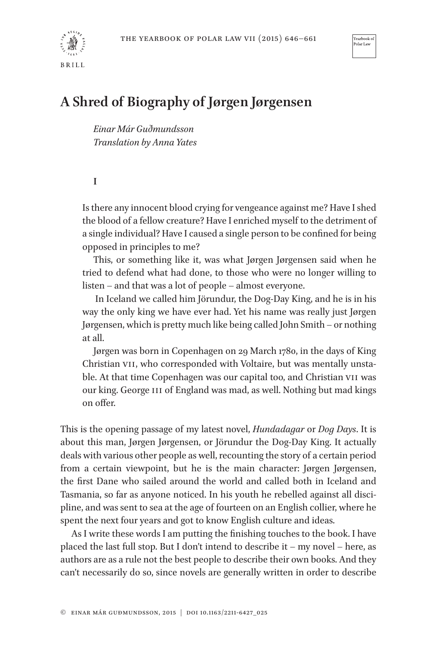



Yearbook Polar Law

## **A Shred of Biography of Jørgen Jørgensen**

*Einar Már Guðmundsson Translation by Anna Yates*

**I**

Is there any innocent blood crying for vengeance against me? Have I shed the blood of a fellow creature? Have I enriched myself to the detriment of a single individual? Have I caused a single person to be confined for being opposed in principles to me?

This, or something like it, was what Jørgen Jørgensen said when he tried to defend what had done, to those who were no longer willing to listen – and that was a lot of people – almost everyone.

In Iceland we called him Jörundur, the Dog-Day King, and he is in his way the only king we have ever had. Yet his name was really just Jørgen Jørgensen, which is pretty much like being called John Smith – or nothing at all.

Jørgen was born in Copenhagen on 29 March 1780, in the days of King Christian VII, who corresponded with Voltaire, but was mentally unstable. At that time Copenhagen was our capital too, and Christian VII was our king. George III of England was mad, as well. Nothing but mad kings on offer.

This is the opening passage of my latest novel, *Hundadagar* or *Dog Days*. It is about this man, Jørgen Jørgensen, or Jörundur the Dog-Day King. It actually deals with various other people as well, recounting the story of a certain period from a certain viewpoint, but he is the main character: Jørgen Jørgensen, the first Dane who sailed around the world and called both in Iceland and Tasmania, so far as anyone noticed. In his youth he rebelled against all discipline, and was sent to sea at the age of fourteen on an English collier, where he spent the next four years and got to know English culture and ideas.

As I write these words I am putting the finishing touches to the book. I have placed the last full stop. But I don't intend to describe it – my novel – here, as authors are as a rule not the best people to describe their own books. And they can't necessarily do so, since novels are generally written in order to describe